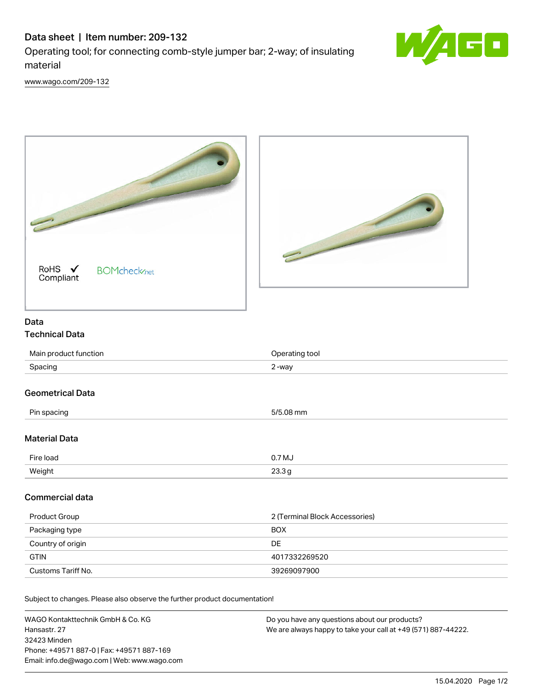## Data sheet | Item number: 209-132

Operating tool; for connecting comb-style jumper bar; 2-way; of insulating material



[www.wago.com/209-132](http://www.wago.com/209-132)



Subject to changes. Please also observe the further product documentation!

WAGO Kontakttechnik GmbH & Co. KG Hansastr. 27 32423 Minden Phone: +49571 887-0 | Fax: +49571 887-169 Email: info.de@wago.com | Web: www.wago.com Do you have any questions about our products? We are always happy to take your call at +49 (571) 887-44222.